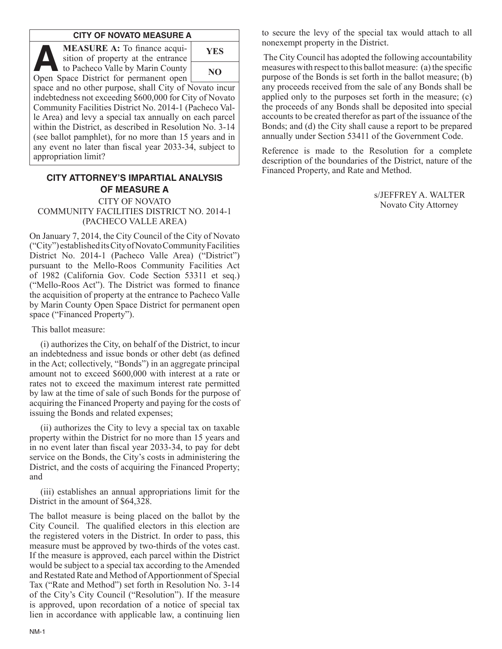### **CITY OF NOVATO MEASURE A**

**MEASURE A:** To finance acquisition of property at the entrance to Pacheco Valle by Marin County MEASURE A: To finance acquisition of property at the entrance to Pacheco Valle by Marin County

| YES |
|-----|
| NO  |

Open Space District for permanent open space and no other purpose, shall City of Novato incur indebtedness not exceeding \$600,000 for City of Novato Community Facilities District No. 2014-1 (Pacheco Valle Area) and levy a special tax annually on each parcel within the District, as described in Resolution No. 3-14 (see ballot pamphlet), for no more than 15 years and in any event no later than fiscal year 2033-34, subject to appropriation limit?

# **CITY ATTORNEY'S IMPARTIAL ANALYSIS OF MEASURE A**

CITY OF NOVATO COMMUNITY FACILITIES DISTRICT NO. 2014-1 (PACHECO VALLE AREA)

On January 7, 2014, the City Council of the City of Novato ("City") established its City of Novato Community Facilities District No. 2014-1 (Pacheco Valle Area) ("District") pursuant to the Mello-Roos Community Facilities Act of 1982 (California Gov. Code Section 53311 et seq.) ("Mello-Roos Act"). The District was formed to finance the acquisition of property at the entrance to Pacheco Valle by Marin County Open Space District for permanent open space ("Financed Property").

This ballot measure:

(i) authorizes the City, on behalf of the District, to incur an indebtedness and issue bonds or other debt (as defined in the Act; collectively, "Bonds") in an aggregate principal amount not to exceed \$600,000 with interest at a rate or rates not to exceed the maximum interest rate permitted by law at the time of sale of such Bonds for the purpose of acquiring the Financed Property and paying for the costs of issuing the Bonds and related expenses;

(ii) authorizes the City to levy a special tax on taxable property within the District for no more than 15 years and in no event later than fiscal year 2033-34, to pay for debt service on the Bonds, the City's costs in administering the District, and the costs of acquiring the Financed Property; and

(iii) establishes an annual appropriations limit for the District in the amount of \$64,328.

The ballot measure is being placed on the ballot by the City Council. The qualified electors in this election are the registered voters in the District. In order to pass, this measure must be approved by two-thirds of the votes cast. If the measure is approved, each parcel within the District would be subject to a special tax according to the Amended and Restated Rate and Method of Apportionment of Special Tax ("Rate and Method") set forth in Resolution No. 3-14 of the City's City Council ("Resolution"). If the measure is approved, upon recordation of a notice of special tax lien in accordance with applicable law, a continuing lien to secure the levy of the special tax would attach to all nonexempt property in the District.

 The City Council has adopted the following accountability measures with respect to this ballot measure: (a) the specific purpose of the Bonds is set forth in the ballot measure; (b) any proceeds received from the sale of any Bonds shall be applied only to the purposes set forth in the measure; (c) the proceeds of any Bonds shall be deposited into special accounts to be created therefor as part of the issuance of the Bonds; and (d) the City shall cause a report to be prepared annually under Section 53411 of the Government Code.

Reference is made to the Resolution for a complete description of the boundaries of the District, nature of the Financed Property, and Rate and Method.

> s/JEFFREY A. WALTER Novato City Attorney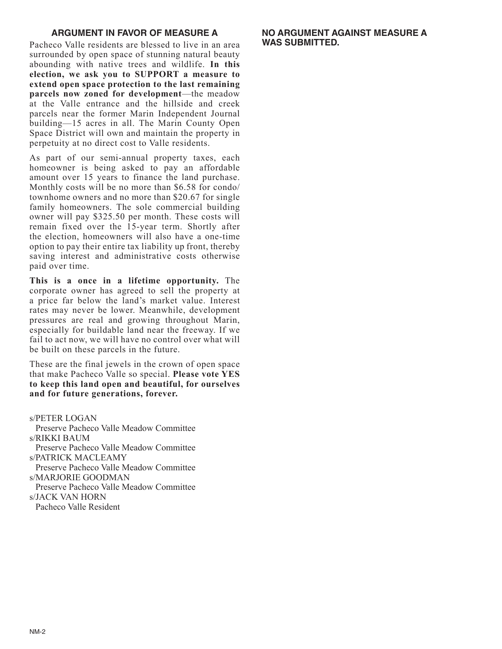## **ARGUMENT IN FAVOR OF MEASURE A**

Pacheco Valle residents are blessed to live in an area surrounded by open space of stunning natural beauty abounding with native trees and wildlife. **In this election, we ask you to SUPPORT a measure to extend open space protection to the last remaining parcels now zoned for development**—the meadow at the Valle entrance and the hillside and creek parcels near the former Marin Independent Journal building—15 acres in all. The Marin County Open Space District will own and maintain the property in perpetuity at no direct cost to Valle residents.

As part of our semi-annual property taxes, each homeowner is being asked to pay an affordable amount over 15 years to finance the land purchase. Monthly costs will be no more than \$6.58 for condo/ townhome owners and no more than \$20.67 for single family homeowners. The sole commercial building owner will pay \$325.50 per month. These costs will remain fixed over the 15-year term. Shortly after the election, homeowners will also have a one-time option to pay their entire tax liability up front, thereby saving interest and administrative costs otherwise paid over time.

**This is a once in a lifetime opportunity.** The corporate owner has agreed to sell the property at a price far below the land's market value. Interest rates may never be lower. Meanwhile, development pressures are real and growing throughout Marin, especially for buildable land near the freeway. If we fail to act now, we will have no control over what will be built on these parcels in the future.

These are the final jewels in the crown of open space that make Pacheco Valle so special. **Please vote YES to keep this land open and beautiful, for ourselves and for future generations, forever.**

s/PETER LOGAN

Preserve Pacheco Valle Meadow Committee s/RIKKI BAUM

Preserve Pacheco Valle Meadow Committee s/PATRICK MACLEAMY

Preserve Pacheco Valle Meadow Committee s/MARJORIE GOODMAN

Preserve Pacheco Valle Meadow Committee

s/JACK VAN HORN

Pacheco Valle Resident

## **NO ARGUMENT AGAINST MEASURE A WAS SUBMITTED.**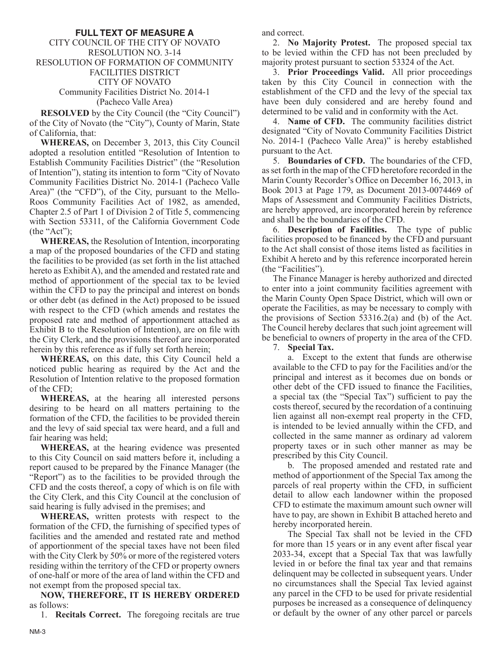## **FULL TEXT OF MEASURE A**

### CITY COUNCIL OF THE CITY OF NOVATO RESOLUTION NO. 3-14 RESOLUTION OF FORMATION OF COMMUNITY FACILITIES DISTRICT CITY OF NOVATO Community Facilities District No. 2014-1 (Pacheco Valle Area)

**RESOLVED** by the City Council (the "City Council") of the City of Novato (the "City"), County of Marin, State of California, that:

**WHEREAS,** on December 3, 2013, this City Council adopted a resolution entitled "Resolution of Intention to Establish Community Facilities District" (the "Resolution of Intention"), stating its intention to form "City of Novato Community Facilities District No. 2014-1 (Pacheco Valle Area)" (the "CFD"), of the City, pursuant to the Mello-Roos Community Facilities Act of 1982, as amended, Chapter 2.5 of Part 1 of Division 2 of Title 5, commencing with Section 53311, of the California Government Code (the "Act");

**WHEREAS,** the Resolution of Intention, incorporating a map of the proposed boundaries of the CFD and stating the facilities to be provided (as set forth in the list attached hereto as Exhibit A), and the amended and restated rate and method of apportionment of the special tax to be levied within the CFD to pay the principal and interest on bonds or other debt (as defined in the Act) proposed to be issued with respect to the CFD (which amends and restates the proposed rate and method of apportionment attached as Exhibit B to the Resolution of Intention), are on file with the City Clerk, and the provisions thereof are incorporated herein by this reference as if fully set forth herein;

**WHEREAS,** on this date, this City Council held a noticed public hearing as required by the Act and the Resolution of Intention relative to the proposed formation of the CFD;

**WHEREAS,** at the hearing all interested persons desiring to be heard on all matters pertaining to the formation of the CFD, the facilities to be provided therein and the levy of said special tax were heard, and a full and fair hearing was held;

**WHEREAS,** at the hearing evidence was presented to this City Council on said matters before it, including a report caused to be prepared by the Finance Manager (the "Report") as to the facilities to be provided through the CFD and the costs thereof, a copy of which is on file with the City Clerk, and this City Council at the conclusion of said hearing is fully advised in the premises; and

**WHEREAS,** written protests with respect to the formation of the CFD, the furnishing of specified types of facilities and the amended and restated rate and method of apportionment of the special taxes have not been filed with the City Clerk by 50% or more of the registered voters residing within the territory of the CFD or property owners of one-half or more of the area of land within the CFD and not exempt from the proposed special tax.

**NOW, THEREFORE, IT IS HEREBY ORDERED** as follows:

1. **Recitals Correct.** The foregoing recitals are true

and correct.

2. **No Majority Protest.** The proposed special tax to be levied within the CFD has not been precluded by majority protest pursuant to section 53324 of the Act.

3. **Prior Proceedings Valid.** All prior proceedings taken by this City Council in connection with the establishment of the CFD and the levy of the special tax have been duly considered and are hereby found and determined to be valid and in conformity with the Act.

4. **Name of CFD.** The community facilities district designated "City of Novato Community Facilities District No. 2014-1 (Pacheco Valle Area)" is hereby established pursuant to the Act.

5. **Boundaries of CFD.** The boundaries of the CFD, as set forth in the map of the CFD heretofore recorded in the Marin County Recorder's Office on December 16, 2013, in Book 2013 at Page 179, as Document 2013-0074469 of Maps of Assessment and Community Facilities Districts, are hereby approved, are incorporated herein by reference and shall be the boundaries of the CFD.

6. **Description of Facilities.** The type of public facilities proposed to be financed by the CFD and pursuant to the Act shall consist of those items listed as facilities in Exhibit A hereto and by this reference incorporated herein (the "Facilities").

The Finance Manager is hereby authorized and directed to enter into a joint community facilities agreement with the Marin County Open Space District, which will own or operate the Facilities, as may be necessary to comply with the provisions of Section 53316.2(a) and (b) of the Act. The Council hereby declares that such joint agreement will be beneficial to owners of property in the area of the CFD.

7. **Special Tax.**

 a. Except to the extent that funds are otherwise available to the CFD to pay for the Facilities and/or the principal and interest as it becomes due on bonds or other debt of the CFD issued to finance the Facilities, a special tax (the "Special Tax") sufficient to pay the costs thereof, secured by the recordation of a continuing lien against all non-exempt real property in the CFD, is intended to be levied annually within the CFD, and collected in the same manner as ordinary ad valorem property taxes or in such other manner as may be prescribed by this City Council.

 b. The proposed amended and restated rate and method of apportionment of the Special Tax among the parcels of real property within the CFD, in sufficient detail to allow each landowner within the proposed CFD to estimate the maximum amount such owner will have to pay, are shown in Exhibit B attached hereto and hereby incorporated herein.

 The Special Tax shall not be levied in the CFD for more than 15 years or in any event after fiscal year 2033-34, except that a Special Tax that was lawfully levied in or before the final tax year and that remains delinquent may be collected in subsequent years. Under no circumstances shall the Special Tax levied against any parcel in the CFD to be used for private residential purposes be increased as a consequence of delinquency or default by the owner of any other parcel or parcels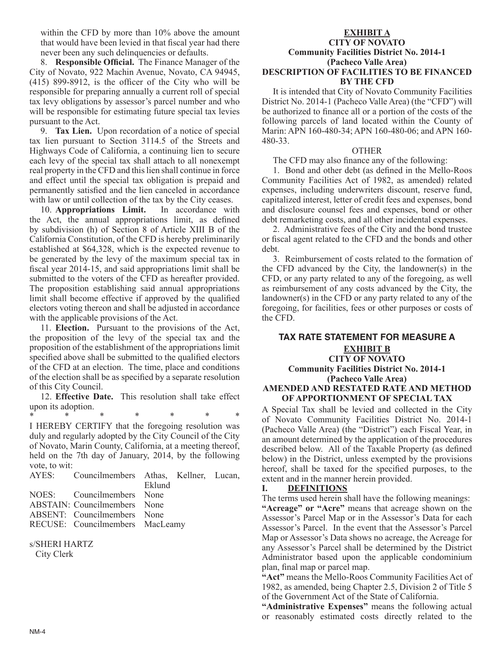within the CFD by more than 10% above the amount that would have been levied in that fiscal year had there never been any such delinquencies or defaults.

8. **Responsible Official.** The Finance Manager of the City of Novato, 922 Machin Avenue, Novato, CA 94945, (415) 899-8912, is the officer of the City who will be responsible for preparing annually a current roll of special tax levy obligations by assessor's parcel number and who will be responsible for estimating future special tax levies pursuant to the Act.

9. **Tax Lien.** Upon recordation of a notice of special tax lien pursuant to Section 3114.5 of the Streets and Highways Code of California, a continuing lien to secure each levy of the special tax shall attach to all nonexempt real property in the CFD and this lien shall continue in force and effect until the special tax obligation is prepaid and permanently satisfied and the lien canceled in accordance with law or until collection of the tax by the City ceases.

10. **Appropriations Limit.** In accordance with the Act, the annual appropriations limit, as defined by subdivision (h) of Section 8 of Article XIII B of the California Constitution, of the CFD is hereby preliminarily established at \$64,328, which is the expected revenue to be generated by the levy of the maximum special tax in fiscal year 2014-15, and said appropriations limit shall be submitted to the voters of the CFD as hereafter provided. The proposition establishing said annual appropriations limit shall become effective if approved by the qualified electors voting thereon and shall be adjusted in accordance with the applicable provisions of the Act.

11. **Election.** Pursuant to the provisions of the Act, the proposition of the levy of the special tax and the proposition of the establishment of the appropriations limit specified above shall be submitted to the qualified electors of the CFD at an election. The time, place and conditions of the election shall be as specified by a separate resolution of this City Council.

12. **Effective Date.** This resolution shall take effect upon its adoption.

\* \* \* \* \* \* \* I HEREBY CERTIFY that the foregoing resolution was duly and regularly adopted by the City Council of the City of Novato, Marin County, California, at a meeting thereof, held on the 7th day of January, 2014, by the following vote, to wit:

| AYES: Councilmembers Athas, Kellner, Lucan, |        |  |
|---------------------------------------------|--------|--|
|                                             | Eklund |  |
| NOES: Councilmembers None                   |        |  |
| <b>ABSTAIN:</b> Councilmembers None         |        |  |
| ABSENT: Councilmembers None                 |        |  |
| RECUSE: Councilmembers MacLeamy             |        |  |

s/SHERI HARTZ City Clerk

# **EXHIBIT A**

#### **CITY OF NOVATO Community Facilities District No. 2014-1 (Pacheco Valle Area) DESCRIPTION OF FACILITIES TO BE FINANCED BY THE CFD**

It is intended that City of Novato Community Facilities District No. 2014-1 (Pacheco Valle Area) (the "CFD") will be authorized to finance all or a portion of the costs of the following parcels of land located within the County of Marin: APN 160-480-34; APN 160-480-06; and APN 160- 480-33.

## OTHER

The CFD may also finance any of the following:

1. Bond and other debt (as defined in the Mello-Roos Community Facilities Act of 1982, as amended) related expenses, including underwriters discount, reserve fund, capitalized interest, letter of credit fees and expenses, bond and disclosure counsel fees and expenses, bond or other debt remarketing costs, and all other incidental expenses.

2. Administrative fees of the City and the bond trustee or fiscal agent related to the CFD and the bonds and other debt.

3. Reimbursement of costs related to the formation of the CFD advanced by the City, the landowner(s) in the CFD, or any party related to any of the foregoing, as well as reimbursement of any costs advanced by the City, the landowner(s) in the CFD or any party related to any of the foregoing, for facilities, fees or other purposes or costs of the CFD.

## **TAX RATE STATEMENT FOR MEASURE A EXHIBIT B CITY OF NOVATO Community Facilities District No. 2014-1 (Pacheco Valle Area) AMENDED AND RESTATED RATE AND METHOD**

**OF APPORTIONMENT OF SPECIAL TAX** A Special Tax shall be levied and collected in the City of Novato Community Facilities District No. 2014-1 (Pacheco Valle Area) (the "District") each Fiscal Year, in an amount determined by the application of the procedures described below. All of the Taxable Property (as defined below) in the District, unless exempted by the provisions hereof, shall be taxed for the specified purposes, to the extent and in the manner herein provided.

## **I. DEFINITIONS**

The terms used herein shall have the following meanings: **"Acreage" or "Acre"** means that acreage shown on the Assessor's Parcel Map or in the Assessor's Data for each Assessor's Parcel. In the event that the Assessor's Parcel Map or Assessor's Data shows no acreage, the Acreage for any Assessor's Parcel shall be determined by the District Administrator based upon the applicable condominium plan, final map or parcel map.

**"Act"** means the Mello-Roos Community Facilities Act of 1982, as amended, being Chapter 2.5, Division 2 of Title 5 of the Government Act of the State of California.

**"Administrative Expenses"** means the following actual or reasonably estimated costs directly related to the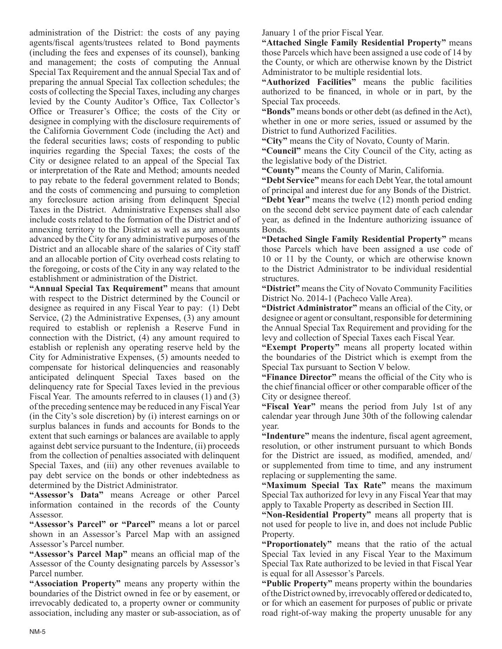administration of the District: the costs of any paying agents/fiscal agents/trustees related to Bond payments (including the fees and expenses of its counsel), banking and management; the costs of computing the Annual Special Tax Requirement and the annual Special Tax and of preparing the annual Special Tax collection schedules; the costs of collecting the Special Taxes, including any charges levied by the County Auditor's Office, Tax Collector's Office or Treasurer's Office; the costs of the City or designee in complying with the disclosure requirements of the California Government Code (including the Act) and the federal securities laws; costs of responding to public inquiries regarding the Special Taxes; the costs of the City or designee related to an appeal of the Special Tax or interpretation of the Rate and Method; amounts needed to pay rebate to the federal government related to Bonds; and the costs of commencing and pursuing to completion any foreclosure action arising from delinquent Special Taxes in the District. Administrative Expenses shall also include costs related to the formation of the District and of annexing territory to the District as well as any amounts advanced by the City for any administrative purposes of the District and an allocable share of the salaries of City staff and an allocable portion of City overhead costs relating to the foregoing, or costs of the City in any way related to the establishment or administration of the District.

**"Annual Special Tax Requirement"** means that amount with respect to the District determined by the Council or designee as required in any Fiscal Year to pay: (1) Debt Service, (2) the Administrative Expenses, (3) any amount required to establish or replenish a Reserve Fund in connection with the District, (4) any amount required to establish or replenish any operating reserve held by the City for Administrative Expenses, (5) amounts needed to compensate for historical delinquencies and reasonably anticipated delinquent Special Taxes based on the delinquency rate for Special Taxes levied in the previous Fiscal Year. The amounts referred to in clauses  $(1)$  and  $(3)$ of the preceding sentence may be reduced in any Fiscal Year (in the City's sole discretion) by (i) interest earnings on or surplus balances in funds and accounts for Bonds to the extent that such earnings or balances are available to apply against debt service pursuant to the Indenture, (ii) proceeds from the collection of penalties associated with delinquent Special Taxes, and (iii) any other revenues available to pay debt service on the bonds or other indebtedness as determined by the District Administrator.

**"Assessor's Data"** means Acreage or other Parcel information contained in the records of the County Assessor.

**"Assessor's Parcel" or "Parcel"** means a lot or parcel shown in an Assessor's Parcel Map with an assigned Assessor's Parcel number.

**"Assessor's Parcel Map"** means an official map of the Assessor of the County designating parcels by Assessor's Parcel number.

**"Association Property"** means any property within the boundaries of the District owned in fee or by easement, or irrevocably dedicated to, a property owner or community association, including any master or sub-association, as of January 1 of the prior Fiscal Year.

**"Attached Single Family Residential Property"** means those Parcels which have been assigned a use code of 14 by the County, or which are otherwise known by the District Administrator to be multiple residential lots.

**"Authorized Facilities"** means the public facilities authorized to be financed, in whole or in part, by the Special Tax proceeds.

**"Bonds"** means bonds or other debt (as defined in the Act), whether in one or more series, issued or assumed by the District to fund Authorized Facilities.

**"City"** means the City of Novato, County of Marin.

**"Council"** means the City Council of the City, acting as the legislative body of the District.

**"County"** means the County of Marin, California.

**"Debt Service"** means for each Debt Year, the total amount of principal and interest due for any Bonds of the District.

**"Debt Year"** means the twelve (12) month period ending on the second debt service payment date of each calendar year, as defined in the Indenture authorizing issuance of Bonds.

**"Detached Single Family Residential Property"** means those Parcels which have been assigned a use code of 10 or 11 by the County, or which are otherwise known to the District Administrator to be individual residential structures.

**"District"** means the City of Novato Community Facilities District No. 2014-1 (Pacheco Valle Area).

**"District Administrator"** means an official of the City, or designee or agent or consultant, responsible for determining the Annual Special Tax Requirement and providing for the levy and collection of Special Taxes each Fiscal Year.

**"Exempt Property"** means all property located within the boundaries of the District which is exempt from the Special Tax pursuant to Section V below.

**"Finance Director"** means the official of the City who is the chief financial officer or other comparable officer of the City or designee thereof.

**"Fiscal Year"** means the period from July 1st of any calendar year through June 30th of the following calendar year.

**"Indenture"** means the indenture, fiscal agent agreement, resolution, or other instrument pursuant to which Bonds for the District are issued, as modified, amended, and/ or supplemented from time to time, and any instrument replacing or supplementing the same.

**"Maximum Special Tax Rate"** means the maximum Special Tax authorized for levy in any Fiscal Year that may apply to Taxable Property as described in Section III.

**"Non-Residential Property"** means all property that is not used for people to live in, and does not include Public Property.

**"Proportionately"** means that the ratio of the actual Special Tax levied in any Fiscal Year to the Maximum Special Tax Rate authorized to be levied in that Fiscal Year is equal for all Assessor's Parcels.

**"Public Property"** means property within the boundaries of the District owned by, irrevocably offered or dedicated to, or for which an easement for purposes of public or private road right-of-way making the property unusable for any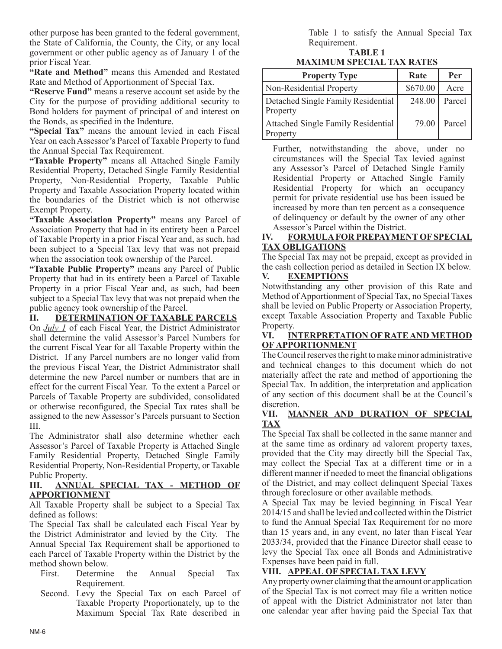other purpose has been granted to the federal government, the State of California, the County, the City, or any local government or other public agency as of January 1 of the prior Fiscal Year.

**"Rate and Method"** means this Amended and Restated Rate and Method of Apportionment of Special Tax.

**"Reserve Fund"** means a reserve account set aside by the City for the purpose of providing additional security to Bond holders for payment of principal of and interest on the Bonds, as specified in the Indenture.

**"Special Tax"** means the amount levied in each Fiscal Year on each Assessor's Parcel of Taxable Property to fund the Annual Special Tax Requirement.

**"Taxable Property"** means all Attached Single Family Residential Property, Detached Single Family Residential Property, Non-Residential Property, Taxable Public Property and Taxable Association Property located within the boundaries of the District which is not otherwise Exempt Property.

**"Taxable Association Property"** means any Parcel of Association Property that had in its entirety been a Parcel of Taxable Property in a prior Fiscal Year and, as such, had been subject to a Special Tax levy that was not prepaid when the association took ownership of the Parcel.

**"Taxable Public Property"** means any Parcel of Public Property that had in its entirety been a Parcel of Taxable Property in a prior Fiscal Year and, as such, had been subject to a Special Tax levy that was not prepaid when the public agency took ownership of the Parcel.

**II. DETERMINATION OF TAXABLE PARCELS** On *July 1* of each Fiscal Year, the District Administrator shall determine the valid Assessor's Parcel Numbers for the current Fiscal Year for all Taxable Property within the District. If any Parcel numbers are no longer valid from the previous Fiscal Year, the District Administrator shall determine the new Parcel number or numbers that are in effect for the current Fiscal Year. To the extent a Parcel or Parcels of Taxable Property are subdivided, consolidated or otherwise reconfigured, the Special Tax rates shall be assigned to the new Assessor's Parcels pursuant to Section III.

The Administrator shall also determine whether each Assessor's Parcel of Taxable Property is Attached Single Family Residential Property, Detached Single Family Residential Property, Non-Residential Property, or Taxable Public Property.

#### **III. ANNUAL SPECIAL TAX - METHOD OF APPORTIONMENT**

All Taxable Property shall be subject to a Special Tax defined as follows:

The Special Tax shall be calculated each Fiscal Year by the District Administrator and levied by the City. The Annual Special Tax Requirement shall be apportioned to each Parcel of Taxable Property within the District by the method shown below.

- First. Determine the Annual Special Tax Requirement.
- Second. Levy the Special Tax on each Parcel of Taxable Property Proportionately, up to the Maximum Special Tax Rate described in

Table 1 to satisfy the Annual Special Tax Requirement.

**TABLE 1**

| <b>MAXIMUM SPECIAL TAX RATES</b> |  |  |  |
|----------------------------------|--|--|--|
|----------------------------------|--|--|--|

| <b>Property Type</b>                                  | Rate     | Per    |
|-------------------------------------------------------|----------|--------|
| Non-Residential Property                              | \$670.00 | Acre   |
| Detached Single Family Residential<br><b>Property</b> | 248.00   | Parcel |
| Attached Single Family Residential<br>Property        | 79.00    | Parcel |

 Further, notwithstanding the above, under no circumstances will the Special Tax levied against any Assessor's Parcel of Detached Single Family Residential Property or Attached Single Family Residential Property for which an occupancy permit for private residential use has been issued be increased by more than ten percent as a consequence of delinquency or default by the owner of any other Assessor's Parcel within the District.

## **IV. FORMULA FOR PREPAYMENT OF SPECIAL TAX OBLIGATIONS**

The Special Tax may not be prepaid, except as provided in the cash collection period as detailed in Section IX below.

# **V. EXEMPTIONS**

Notwithstanding any other provision of this Rate and Method of Apportionment of Special Tax, no Special Taxes shall be levied on Public Property or Association Property, except Taxable Association Property and Taxable Public Property.

## **VI. INTERPRETATION OF RATE AND METHOD OF APPORTIONMENT**

The Council reserves the right to make minor administrative and technical changes to this document which do not materially affect the rate and method of apportioning the Special Tax. In addition, the interpretation and application of any section of this document shall be at the Council's discretion.

## **VII. MANNER AND DURATION OF SPECIAL TAX**

The Special Tax shall be collected in the same manner and at the same time as ordinary ad valorem property taxes, provided that the City may directly bill the Special Tax, may collect the Special Tax at a different time or in a different manner if needed to meet the financial obligations of the District, and may collect delinquent Special Taxes through foreclosure or other available methods.

A Special Tax may be levied beginning in Fiscal Year 2014/15 and shall be levied and collected within the District to fund the Annual Special Tax Requirement for no more than 15 years and, in any event, no later than Fiscal Year 2033/34, provided that the Finance Director shall cease to levy the Special Tax once all Bonds and Administrative Expenses have been paid in full.

# **VIII. APPEAL OF SPECIAL TAX LEVY**

Any property owner claiming that the amount or application of the Special Tax is not correct may file a written notice of appeal with the District Administrator not later than one calendar year after having paid the Special Tax that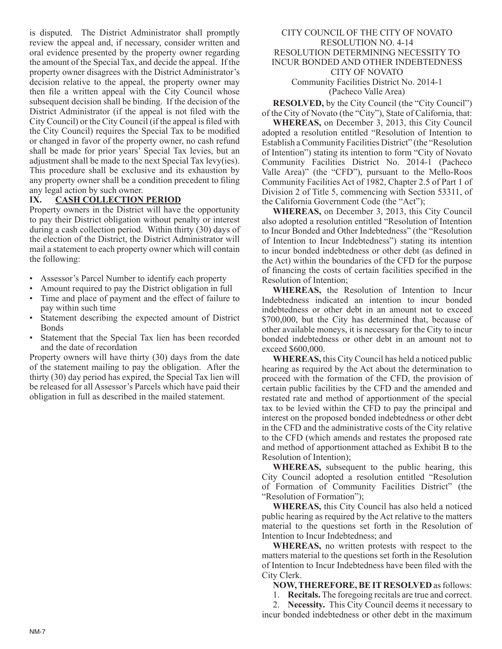is disputed. The District Administrator shall promptly review the appeal and, if necessary, consider written and oral evidence presented by the property owner regarding the amount of the Special Tax, and decide the appeal. If the property owner disagrees with the District Administrator's decision relative to the appeal, the property owner may then file a written appeal with the City Council whose subsequent decision shall be binding. If the decision of the District Administrator (if the appeal is not filed with the City Council) or the City Council (if the appeal is filed with the City Council) requires the Special Tax to be modified or changed in favor of the property owner, no cash refund shall be made for prior years' Special Tax levies, but an adjustment shall be made to the next Special Tax levy(ies). This procedure shall be exclusive and its exhaustion by any property owner shall be a condition precedent to filing any legal action by such owner.

## **IX. CASH COLLECTION PERIOD**

Property owners in the District will have the opportunity to pay their District obligation without penalty or interest during a cash collection period. Within thirty (30) days of the election of the District, the District Administrator will mail a statement to each property owner which will contain the following:

- Assessor's Parcel Number to identify each property
- Amount required to pay the District obligation in full
- Time and place of payment and the effect of failure to pay within such time
- Statement describing the expected amount of District Bonds
- Statement that the Special Tax lien has been recorded and the date of recordation

Property owners will have thirty (30) days from the date of the statement mailing to pay the obligation. After the thirty (30) day period has expired, the Special Tax lien will be released for all Assessor's Parcels which have paid their obligation in full as described in the mailed statement.

#### CITY COUNCIL OF THE CITY OF NOVATO RESOLUTION NO. 4-14 RESOLUTION DETERMINING NECESSITY TO INCUR BONDED AND OTHER INDEBTEDNESS CITY OF NOVATO Community Facilities District No. 2014-1 (Pacheco Valle Area)

**RESOLVED,** by the City Council (the "City Council") of the City of Novato (the "City"), State of California, that:

**WHEREAS,** on December 3, 2013, this City Council adopted a resolution entitled "Resolution of Intention to Establish a Community Facilities District" (the "Resolution of Intention") stating its intention to form "City of Novato Community Facilities District No. 2014-1 (Pacheco Valle Area)" (the "CFD"), pursuant to the Mello-Roos Community Facilities Act of 1982, Chapter 2.5 of Part 1 of Division 2 of Title 5, commencing with Section 53311, of the California Government Code (the "Act");

**WHEREAS,** on December 3, 2013, this City Council also adopted a resolution entitled "Resolution of Intention to Incur Bonded and Other Indebtedness" (the "Resolution of Intention to Incur Indebtedness") stating its intention to incur bonded indebtedness or other debt (as defined in the Act) within the boundaries of the CFD for the purpose of financing the costs of certain facilities specified in the Resolution of Intention;

**WHEREAS,** the Resolution of Intention to Incur Indebtedness indicated an intention to incur bonded indebtedness or other debt in an amount not to exceed \$700,000, but the City has determined that, because of other available moneys, it is necessary for the City to incur bonded indebtedness or other debt in an amount not to exceed \$600,000.

**WHEREAS,** this City Council has held a noticed public hearing as required by the Act about the determination to proceed with the formation of the CFD, the provision of certain public facilities by the CFD and the amended and restated rate and method of apportionment of the special tax to be levied within the CFD to pay the principal and interest on the proposed bonded indebtedness or other debt in the CFD and the administrative costs of the City relative to the CFD (which amends and restates the proposed rate and method of apportionment attached as Exhibit B to the Resolution of Intention);

**WHEREAS,** subsequent to the public hearing, this City Council adopted a resolution entitled "Resolution of Formation of Community Facilities District" (the "Resolution of Formation");

**WHEREAS,** this City Council has also held a noticed public hearing as required by the Act relative to the matters material to the questions set forth in the Resolution of Intention to Incur Indebtedness; and

**WHEREAS,** no written protests with respect to the matters material to the questions set forth in the Resolution of Intention to Incur Indebtedness have been filed with the City Clerk.

**NOW, THEREFORE, BE IT RESOLVED** as follows:

1. **Recitals.** The foregoing recitals are true and correct.

2. **Necessity.** This City Council deems it necessary to incur bonded indebtedness or other debt in the maximum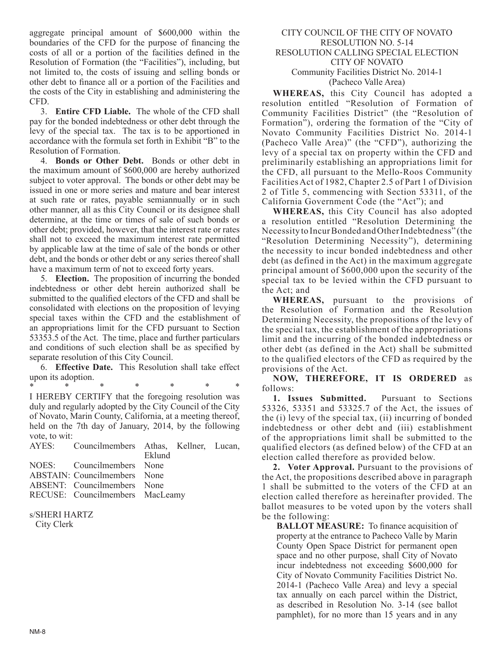aggregate principal amount of \$600,000 within the boundaries of the CFD for the purpose of financing the costs of all or a portion of the facilities defined in the Resolution of Formation (the "Facilities"), including, but not limited to, the costs of issuing and selling bonds or other debt to finance all or a portion of the Facilities and the costs of the City in establishing and administering the CFD.

3. **Entire CFD Liable.** The whole of the CFD shall pay for the bonded indebtedness or other debt through the levy of the special tax. The tax is to be apportioned in accordance with the formula set forth in Exhibit "B" to the Resolution of Formation.

4. **Bonds or Other Debt.** Bonds or other debt in the maximum amount of \$600,000 are hereby authorized subject to voter approval. The bonds or other debt may be issued in one or more series and mature and bear interest at such rate or rates, payable semiannually or in such other manner, all as this City Council or its designee shall determine, at the time or times of sale of such bonds or other debt; provided, however, that the interest rate or rates shall not to exceed the maximum interest rate permitted by applicable law at the time of sale of the bonds or other debt, and the bonds or other debt or any series thereof shall have a maximum term of not to exceed forty years.

5. **Election.** The proposition of incurring the bonded indebtedness or other debt herein authorized shall be submitted to the qualified electors of the CFD and shall be consolidated with elections on the proposition of levying special taxes within the CFD and the establishment of an appropriations limit for the CFD pursuant to Section 53353.5 of the Act. The time, place and further particulars and conditions of such election shall be as specified by separate resolution of this City Council.

6. **Effective Date.** This Resolution shall take effect upon its adoption.

\* \* \* \* \* \* \* I HEREBY CERTIFY that the foregoing resolution was duly and regularly adopted by the City Council of the City of Novato, Marin County, California, at a meeting thereof, held on the 7th day of January, 2014, by the following vote, to wit:

| AYES: Councilmembers Athas, Kellner, Lucan, |  |
|---------------------------------------------|--|
| Eklund                                      |  |
| NOES: Councilmembers None                   |  |
| ABSTAIN: Councilmembers None                |  |
| ABSENT: Councilmembers None                 |  |
| RECUSE: Councilmembers MacLeamy             |  |

#### s/SHERI HARTZ City Clerk

#### CITY COUNCIL OF THE CITY OF NOVATO RESOLUTION NO. 5-14 RESOLUTION CALLING SPECIAL ELECTION CITY OF NOVATO Community Facilities District No. 2014-1 (Pacheco Valle Area)

**WHEREAS,** this City Council has adopted a resolution entitled "Resolution of Formation of Community Facilities District" (the "Resolution of Formation"), ordering the formation of the "City of Novato Community Facilities District No. 2014-1 (Pacheco Valle Area)" (the "CFD"), authorizing the levy of a special tax on property within the CFD and preliminarily establishing an appropriations limit for the CFD, all pursuant to the Mello-Roos Community Facilities Act of 1982, Chapter 2.5 of Part 1 of Division 2 of Title 5, commencing with Section 53311, of the California Government Code (the "Act"); and

**WHEREAS,** this City Council has also adopted a resolution entitled "Resolution Determining the Necessity to Incur Bonded and Other Indebtedness" (the "Resolution Determining Necessity"), determining the necessity to incur bonded indebtedness and other debt (as defined in the Act) in the maximum aggregate principal amount of \$600,000 upon the security of the special tax to be levied within the CFD pursuant to the Act; and

**WHEREAS,** pursuant to the provisions of the Resolution of Formation and the Resolution Determining Necessity, the propositions of the levy of the special tax, the establishment of the appropriations limit and the incurring of the bonded indebtedness or other debt (as defined in the Act) shall be submitted to the qualified electors of the CFD as required by the provisions of the Act.

**NOW, THEREFORE, IT IS ORDERED** as follows:

**1. Issues Submitted.** Pursuant to Sections 53326, 53351 and 53325.7 of the Act, the issues of the (i) levy of the special tax, (ii) incurring of bonded indebtedness or other debt and (iii) establishment of the appropriations limit shall be submitted to the qualified electors (as defined below) of the CFD at an election called therefore as provided below.

**2. Voter Approval.** Pursuant to the provisions of the Act, the propositions described above in paragraph 1 shall be submitted to the voters of the CFD at an election called therefore as hereinafter provided. The ballot measures to be voted upon by the voters shall be the following:

**BALLOT MEASURE:** To finance acquisition of property at the entrance to Pacheco Valle by Marin County Open Space District for permanent open space and no other purpose, shall City of Novato incur indebtedness not exceeding \$600,000 for City of Novato Community Facilities District No. 2014-1 (Pacheco Valle Area) and levy a special tax annually on each parcel within the District, as described in Resolution No. 3-14 (see ballot pamphlet), for no more than 15 years and in any